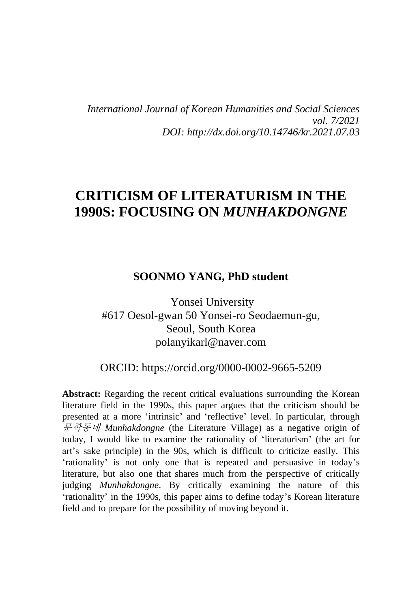*International Journal of Korean Humanities and Social Sciences vol. 7/2021 DOI: http://dx.doi.org/10.14746/kr.2021.07.03*

# **CRITICISM OF LITERATURISM IN THE 1990S: FOCUSING ON** *MUNHAKDONGNE*

#### **SOONMO YANG, PhD student**

Yonsei University #617 Oesol-gwan 50 Yonsei-ro Seodaemun-gu, Seoul, South Korea polanyikarl@naver.com

### ORCID: [https://orcid.org/0000-0002-9665-5](https://orcid.org/0000-0002-9665-)209

**Abstract:** Regarding the recent critical evaluations surrounding the Korean literature field in the 1990s, this paper argues that the criticism should be presented at a more 'intrinsic' and 'reflective' level. In particular, through 문학동네 *Munhakdongne* (the Literature Village) as a negative origin of today, I would like to examine the rationality of 'literaturism' (the art for art's sake principle) in the 90s, which is difficult to criticize easily. This 'rationality' is not only one that is repeated and persuasive in today's literature, but also one that shares much from the perspective of critically judging *Munhakdongne*. By critically examining the nature of this 'rationality' in the 1990s, this paper aims to define today's Korean literature field and to prepare for the possibility of moving beyond it.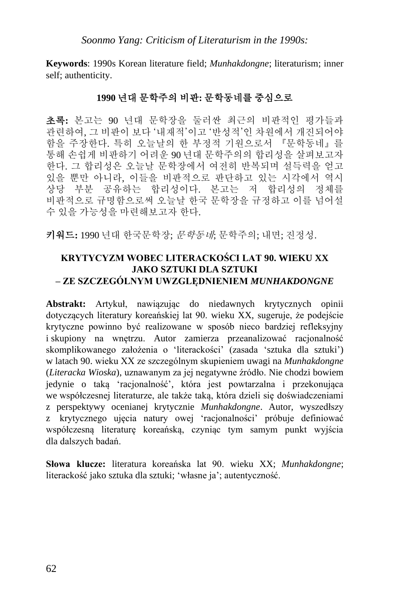**Keywords**: 1990s Korean literature field; *Munhakdongne*; literaturism; inner self; authenticity.

### **1990** 년대 문학주의 비판**:** 문학동네를 중심으로

초록**:** 본고는 90 년대 문학장을 둘러싼 최근의 비판적인 평가들과 관련하여, 그 비판이 보다 '내재적'이고 '반성적'인 차원에서 개진되어야 함을 주장한다. 특히 오늘날의 한 부정적 기원으로서 『문학동네』를 통해 손쉽게 비판하기 어려운 90 년대 문학주의의 합리성을 살펴보고자 한다. 그 합리성은 오늘날 문학장에서 여전히 반복되며 설득력을 얻고 있을 뿐만 아니라, 이들을 비판적으로 판단하고 있는 시각에서 역시 상당 부분 공유하는 합리성이다. 본고는 저 합리성의 정체를 비판적으로 규명함으로써 오늘날 한국 문학장을 규정하고 이를 넘어설 수 있을 가능성을 마련해보고자 한다.

키워드**:** 1990 년대 한국문학장; 문학동네; 문학주의; 내면; 진정성.

#### **KRYTYCYZM WOBEC LITERACKOŚCI LAT 90. WIEKU XX JAKO SZTUKI DLA SZTUKI – ZE SZCZEGÓLNYM UWZGLĘDNIENIEM** *MUNHAKDONGNE*

**Abstrakt:** Artykuł, nawiązując do niedawnych krytycznych opinii dotyczących literatury koreańskiej lat 90. wieku XX, sugeruje, że podejście krytyczne powinno być realizowane w sposób nieco bardziej refleksyjny i skupiony na wnętrzu. Autor zamierza przeanalizować racjonalność skomplikowanego założenia o 'literackości' (zasada 'sztuka dla sztuki') w latach 90. wieku XX ze szczególnym skupieniem uwagi na *Munhakdongne* (*Literacka Wioska*), uznawanym za jej negatywne źródło. Nie chodzi bowiem jedynie o taką 'racjonalność', która jest powtarzalna i przekonująca we współczesnej literaturze, ale także taką, która dzieli się doświadczeniami z perspektywy ocenianej krytycznie *Munhakdongne*. Autor, wyszedłszy z krytycznego ujęcia natury owej 'racjonalności' próbuje definiować współczesną literaturę koreańską, czyniąc tym samym punkt wyjścia dla dalszych badań.

**Słowa klucze:** literatura koreańska lat 90. wieku XX; *Munhakdongne*; literackość jako sztuka dla sztuki; 'własne ja'; autentyczność.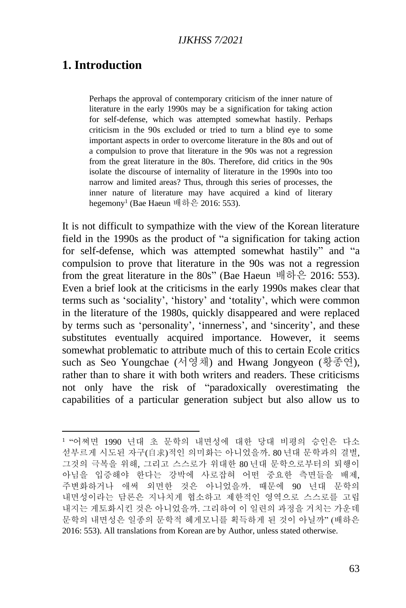## **1. Introduction**

Perhaps the approval of contemporary criticism of the inner nature of literature in the early 1990s may be a signification for taking action for self-defense, which was attempted somewhat hastily. Perhaps criticism in the 90s excluded or tried to turn a blind eye to some important aspects in order to overcome literature in the 80s and out of a compulsion to prove that literature in the 90s was not a regression from the great literature in the 80s. Therefore, did critics in the 90s isolate the discourse of internality of literature in the 1990s into too narrow and limited areas? Thus, through this series of processes, the inner nature of literature may have acquired a kind of literary hegemony<sup>1</sup> (Bae Haeun 배하은 2016: 553).

It is not difficult to sympathize with the view of the Korean literature field in the 1990s as the product of "a signification for taking action for self-defense, which was attempted somewhat hastily" and "a compulsion to prove that literature in the 90s was not a regression from the great literature in the 80s" (Bae Haeun 배하은 2016: 553). Even a brief look at the criticisms in the early 1990s makes clear that terms such as 'sociality', 'history' and 'totality', which were common in the literature of the 1980s, quickly disappeared and were replaced by terms such as 'personality', 'innerness', and 'sincerity', and these substitutes eventually acquired importance. However, it seems somewhat problematic to attribute much of this to certain Ecole critics such as Seo Youngchae (서영채) and Hwang Jongyeon (황종연), rather than to share it with both writers and readers. These criticisms not only have the risk of "paradoxically overestimating the capabilities of a particular generation subject but also allow us to

<sup>1</sup> "어쩌면 1990 년대 초 문학의 내면성에 대한 당대 비평의 승인은 다소 섣부르게 시도된 자구(自求)적인 의미화는 아니었을까. 80 년대 문학과의 결별, 그것의 극복을 위해, 그리고 스스로가 위대한 80 년대 문학으로부터의 퇴행이 아님을 입증해야 한다는 강박에 사로잡혀 어떤 중요한 측면들을 배제, 주변화하거나 애써 외면한 것은 아니었을까. 때문에 90 년대 문학의 내면성이라는 담론은 지나치게 협소하고 제한적인 영역으로 스스로를 고립 내지는 게토화시킨 것은 아니었을까. 그리하여 이 일련의 과정을 거치는 가운데 문학의 내면성은 일종의 문학적 헤게모니를 획득하게 된 것이 아닐까" (배하은 2016: 553). All translations from Korean are by Author, unless stated otherwise.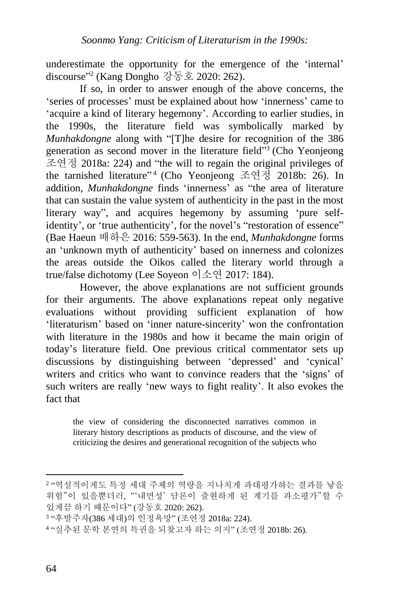underestimate the opportunity for the emergence of the 'internal' discourse" 2 (Kang Dongho 강동호 2020: 262).

If so, in order to answer enough of the above concerns, the 'series of processes' must be explained about how 'innerness' came to 'acquire a kind of literary hegemony'. According to earlier studies, in the 1990s, the literature field was symbolically marked by *Munhakdongne* along with "[T]he desire for recognition of the 386 generation as second mover in the literature field"<sup>3</sup> (Cho Yeonjeong 조연정 2018a: 224) and "the will to regain the original privileges of the tarnished literature" 4 (Cho Yeonjeong 조연정 2018b: 26). In addition, *Munhakdongne* finds 'innerness' as "the area of literature that can sustain the value system of authenticity in the past in the most literary way", and acquires hegemony by assuming 'pure selfidentity', or 'true authenticity', for the novel's "restoration of essence" (Bae Haeun 배하은 2016: 559-563). In the end, *Munhakdongne* forms an 'unknown myth of authenticity' based on innerness and colonizes the areas outside the Oikos called the literary world through a true/false dichotomy (Lee Soyeon 이소연 2017: 184).

However, the above explanations are not sufficient grounds for their arguments. The above explanations repeat only negative evaluations without providing sufficient explanation of how 'literaturism' based on 'inner nature-sincerity' won the confrontation with literature in the 1980s and how it became the main origin of today's literature field. One previous critical commentator sets up discussions by distinguishing between 'depressed' and 'cynical' writers and critics who want to convince readers that the 'signs' of such writers are really 'new ways to fight reality'. It also evokes the fact that

the view of considering the disconnected narratives common in literary history descriptions as products of discourse, and the view of criticizing the desires and generational recognition of the subjects who

<sup>2</sup> "역설적이게도 특정 세대 주체의 역량을 지나치게 과대평가하는 결과를 낳을 위험"이 있을뿐더러, "'내면성' 담론이 출현하게 된 계기를 과소평가"할 수 있게끔 하기 때문이다" (강동호 2020: 262).

<sup>3</sup> "후발주자(386 세대)의 인정욕망" (조연정 2018a: 224).

<sup>4</sup> "실추된 문학 본연의 특권을 되찾고자 하는 의지" (조연정 2018b: 26).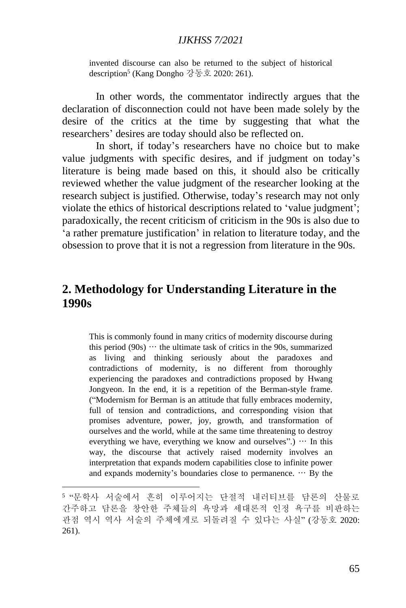invented discourse can also be returned to the subject of historical description<sup>5</sup> (Kang Dongho 강동호 2020: 261).

In other words, the commentator indirectly argues that the declaration of disconnection could not have been made solely by the desire of the critics at the time by suggesting that what the researchers' desires are today should also be reflected on.

In short, if today's researchers have no choice but to make value judgments with specific desires, and if judgment on today's literature is being made based on this, it should also be critically reviewed whether the value judgment of the researcher looking at the research subject is justified. Otherwise, today's research may not only violate the ethics of historical descriptions related to 'value judgment'; paradoxically, the recent criticism of criticism in the 90s is also due to 'a rather premature justification' in relation to literature today, and the obsession to prove that it is not a regression from literature in the 90s.

### **2. Methodology for Understanding Literature in the 1990s**

This is commonly found in many critics of modernity discourse during this period (90s)  $\cdots$  the ultimate task of critics in the 90s, summarized as living and thinking seriously about the paradoxes and contradictions of modernity, is no different from thoroughly experiencing the paradoxes and contradictions proposed by Hwang Jongyeon. In the end, it is a repetition of the Berman-style frame. ("Modernism for Berman is an attitude that fully embraces modernity, full of tension and contradictions, and corresponding vision that promises adventure, power, joy, growth, and transformation of ourselves and the world, while at the same time threatening to destroy everything we have, everything we know and ourselves".)  $\cdots$  In this way, the discourse that actively raised modernity involves an interpretation that expands modern capabilities close to infinite power and expands modernity's boundaries close to permanence. … By the

<sup>5</sup> "문학사 서술에서 흔히 이루어지는 단절적 내러티브를 담론의 산물로 간주하고 담론을 창안한 주체들의 욕망과 세대론적 인정 욕구를 비판하는 관점 역시 역사 서술의 주체에게로 되돌려질 수 있다는 사실" (강동호 2020: 261).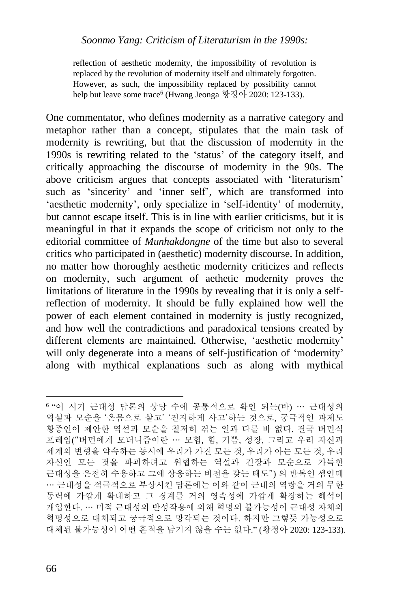reflection of aesthetic modernity, the impossibility of revolution is replaced by the revolution of modernity itself and ultimately forgotten. However, as such, the impossibility replaced by possibility cannot help but leave some trace<sup>6</sup> (Hwang Jeonga 황정아 2020: 123-133).

One commentator, who defines modernity as a narrative category and metaphor rather than a concept, stipulates that the main task of modernity is rewriting, but that the discussion of modernity in the 1990s is rewriting related to the 'status' of the category itself, and critically approaching the discourse of modernity in the 90s. The above criticism argues that concepts associated with 'literaturism' such as 'sincerity' and 'inner self', which are transformed into 'aesthetic modernity', only specialize in 'self-identity' of modernity, but cannot escape itself. This is in line with earlier criticisms, but it is meaningful in that it expands the scope of criticism not only to the editorial committee of *Munhakdongne* of the time but also to several critics who participated in (aesthetic) modernity discourse. In addition, no matter how thoroughly aesthetic modernity criticizes and reflects on modernity, such argument of aethetic modernity proves the limitations of literature in the 1990s by revealing that it is only a selfreflection of modernity. It should be fully explained how well the power of each element contained in modernity is justly recognized, and how well the contradictions and paradoxical tensions created by different elements are maintained. Otherwise, 'aesthetic modernity' will only degenerate into a means of self-justification of 'modernity' along with mythical explanations such as along with mythical

<sup>6</sup> "이 시기 근대성 담론의 상당 수에 공통적으로 확인 되는(바) … 근대성의 역설과 모순을 '온몸으로 살고' '진지하게 사고'하는 것으로, 궁극적인 과제도 황종연이 제안한 역설과 모순을 철저히 겪는 일과 다를 바 없다. 결국 버먼식 프레임("버먼에게 모더니즘이란 … 모험, 힘, 기쁨, 성장, 그리고 우리 자신과 세계의 변형을 약속하는 동시에 우리가 가진 모든 것, 우리가 아는 모든 것, 우리 자신인 모든 것을 파괴하려고 위협하는 역설과 긴장과 모순으로 가득한 근대성을 온전히 수용하고 그에 상응하는 비전을 갖는 태도") 의 반복인 셈인데 … 근대성을 적극적으로 부상시킨 담론에는 이와 같이 근대의 역량을 거의 무한 동력에 가깝게 확대하고 그 경계를 거의 영속성에 가깝게 확장하는 해석이 개입한다. … 미적 근대성의 반성작용에 의해 혁명의 불가능성이 근대성 자체의 혁명성으로 대체되고 궁극적으로 망각되는 것이다. 하지만 그렇듯 가능성으로 대체된 불가능성이 어떤 흔적을 남기지 않을 수는 없다." (황정아 2020: 123-133).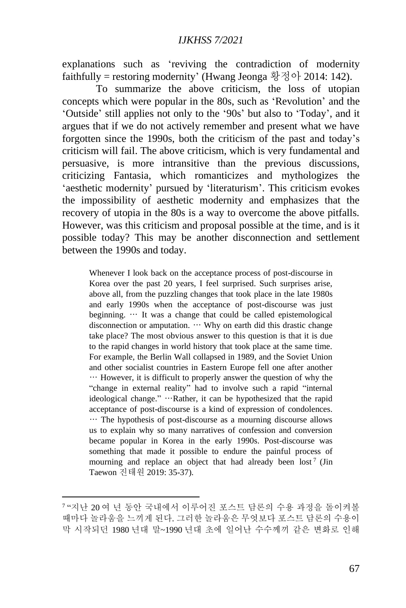explanations such as 'reviving the contradiction of modernity faithfully = restoring modernity' (Hwang Jeonga 황정아 2014: 142).

To summarize the above criticism, the loss of utopian concepts which were popular in the 80s, such as 'Revolution' and the 'Outside' still applies not only to the '90s' but also to 'Today', and it argues that if we do not actively remember and present what we have forgotten since the 1990s, both the criticism of the past and today's criticism will fail. The above criticism, which is very fundamental and persuasive, is more intransitive than the previous discussions, criticizing Fantasia, which romanticizes and mythologizes the 'aesthetic modernity' pursued by 'literaturism'. This criticism evokes the impossibility of aesthetic modernity and emphasizes that the recovery of utopia in the 80s is a way to overcome the above pitfalls. However, was this criticism and proposal possible at the time, and is it possible today? This may be another disconnection and settlement between the 1990s and today.

Whenever I look back on the acceptance process of post-discourse in Korea over the past 20 years, I feel surprised. Such surprises arise, above all, from the puzzling changes that took place in the late 1980s and early 1990s when the acceptance of post-discourse was just beginning. … It was a change that could be called epistemological disconnection or amputation. … Why on earth did this drastic change take place? The most obvious answer to this question is that it is due to the rapid changes in world history that took place at the same time. For example, the Berlin Wall collapsed in 1989, and the Soviet Union and other socialist countries in Eastern Europe fell one after another … However, it is difficult to properly answer the question of why the "change in external reality" had to involve such a rapid "internal ideological change." …Rather, it can be hypothesized that the rapid acceptance of post-discourse is a kind of expression of condolences. … The hypothesis of post-discourse as a mourning discourse allows us to explain why so many narratives of confession and conversion became popular in Korea in the early 1990s. Post-discourse was something that made it possible to endure the painful process of mourning and replace an object that had already been lost<sup>7</sup> (Jin Taewon 진태원 2019: 35-37).

<sup>7</sup> "지난 20 여 년 동안 국내에서 이루어진 포스트 담론의 수용 과정을 돌이켜볼 때마다 놀라움을 느끼게 된다. 그러한 놀라움은 무엇보다 포스트 담론의 수용이 막 시작되던 1980 년대 말~1990 년대 초에 일어난 수수께끼 같은 변화로 인해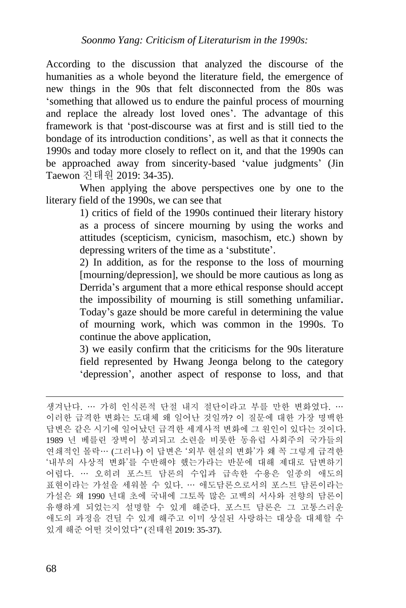According to the discussion that analyzed the discourse of the humanities as a whole beyond the literature field, the emergence of new things in the 90s that felt disconnected from the 80s was 'something that allowed us to endure the painful process of mourning and replace the already lost loved ones'. The advantage of this framework is that 'post-discourse was at first and is still tied to the bondage of its introduction conditions', as well as that it connects the 1990s and today more closely to reflect on it, and that the 1990s can be approached away from sincerity-based 'value judgments' (Jin Taewon 진태원 2019: 34-35).

When applying the above perspectives one by one to the literary field of the 1990s, we can see that

> 1) critics of field of the 1990s continued their literary history as a process of sincere mourning by using the works and attitudes (scepticism, cynicism, masochism, etc.) shown by depressing writers of the time as a 'substitute'.

> 2) In addition, as for the response to the loss of mourning [mourning/depression], we should be more cautious as long as Derrida's argument that a more ethical response should accept the impossibility of mourning is still something unfamiliar. Today's gaze should be more careful in determining the value of mourning work, which was common in the 1990s. To continue the above application,

> 3) we easily confirm that the criticisms for the 90s literature field represented by Hwang Jeonga belong to the category 'depression', another aspect of response to loss, and that

생겨난다. … 가히 인식론적 단절 내지 절단이라고 부를 만한 변화였다. … 이러한 급격한 변화는 도대체 왜 일어난 것일까? 이 질문에 대한 가장 명백한 답변은 같은 시기에 일어났던 급격한 세계사적 변화에 그 원인이 있다는 것이다. 1989 년 베를린 장벽이 붕괴되고 소련을 비롯한 동유럽 사회주의 국가들의 연쇄적인 몰락… (그러나) 이 답변은 '외부 현실의 변화'가 왜 꼭 그렇게 급격한 '내부의 사상적 변화'를 수반해야 했는가라는 반문에 대해 제대로 답변하기 어렵다. … 오히려 포스트 담론의 수입과 급속한 수용은 일종의 애도의 표현이라는 가설을 세워볼 수 있다. … 애도담론으로서의 포스트 담론이라는 가설은 왜 1990 년대 초에 국내에 그토록 많은 고백의 서사와 전향의 담론이 유행하게 되었는지 설명할 수 있게 해준다. 포스트 담론은 그 고통스러운 애도의 과정을 견딜 수 있게 해주고 이미 상실된 사랑하는 대상을 대체할 수 있게 해준 어떤 것이었다" (진태원 2019: 35-37).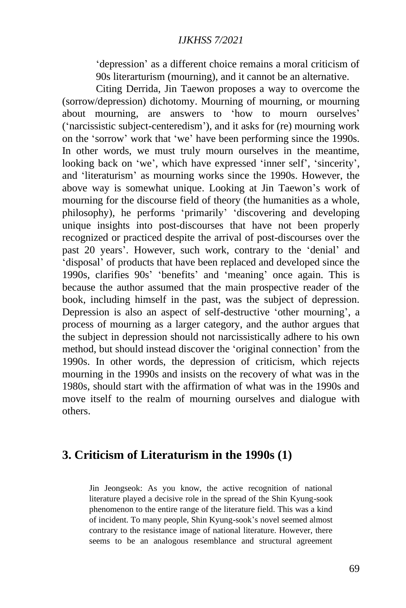'depression' as a different choice remains a moral criticism of 90s literarturism (mourning), and it cannot be an alternative.

Citing Derrida, Jin Taewon proposes a way to overcome the (sorrow/depression) dichotomy. Mourning of mourning, or mourning about mourning, are answers to 'how to mourn ourselves' ('narcissistic subject-centeredism'), and it asks for (re) mourning work on the 'sorrow' work that 'we' have been performing since the 1990s. In other words, we must truly mourn ourselves in the meantime, looking back on 'we', which have expressed 'inner self', 'sincerity', and 'literaturism' as mourning works since the 1990s. However, the above way is somewhat unique. Looking at Jin Taewon's work of mourning for the discourse field of theory (the humanities as a whole, philosophy), he performs 'primarily' 'discovering and developing unique insights into post-discourses that have not been properly recognized or practiced despite the arrival of post-discourses over the past 20 years'. However, such work, contrary to the 'denial' and 'disposal' of products that have been replaced and developed since the 1990s, clarifies 90s' 'benefits' and 'meaning' once again. This is because the author assumed that the main prospective reader of the book, including himself in the past, was the subject of depression. Depression is also an aspect of self-destructive 'other mourning', a process of mourning as a larger category, and the author argues that the subject in depression should not narcissistically adhere to his own method, but should instead discover the 'original connection' from the 1990s. In other words, the depression of criticism, which rejects mourning in the 1990s and insists on the recovery of what was in the 1980s, should start with the affirmation of what was in the 1990s and move itself to the realm of mourning ourselves and dialogue with others.

## **3. Criticism of Literaturism in the 1990s (1)**

Jin Jeongseok: As you know, the active recognition of national literature played a decisive role in the spread of the Shin Kyung-sook phenomenon to the entire range of the literature field. This was a kind of incident. To many people, Shin Kyung-sook's novel seemed almost contrary to the resistance image of national literature. However, there seems to be an analogous resemblance and structural agreement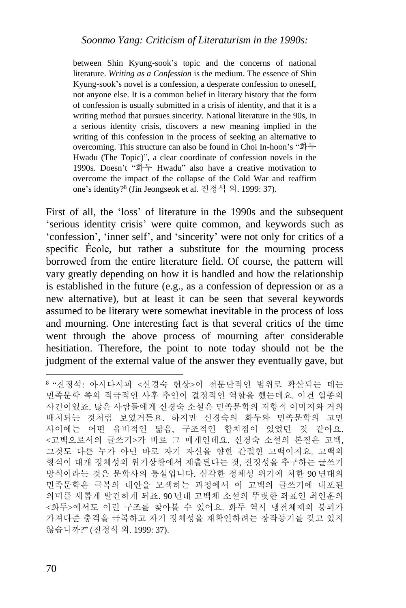between Shin Kyung-sook's topic and the concerns of national literature. *Writing as a Confession* is the medium. The essence of Shin Kyung-sook's novel is a confession, a desperate confession to oneself, not anyone else. It is a common belief in literary history that the form of confession is usually submitted in a crisis of identity, and that it is a writing method that pursues sincerity. National literature in the 90s, in a serious identity crisis, discovers a new meaning implied in the writing of this confession in the process of seeking an alternative to overcoming. This structure can also be found in Choi In-hoon's "화두 Hwadu (The Topic)", a clear coordinate of confession novels in the 1990s. Doesn't "화두 Hwadu" also have a creative motivation to overcome the impact of the collapse of the Cold War and reaffirm one's identity?<sup>8</sup> (Jin Jeongseok et al. 진정석 외. 1999: 37).

First of all, the 'loss' of literature in the 1990s and the subsequent 'serious identity crisis' were quite common, and keywords such as 'confession', 'inner self', and 'sincerity' were not only for critics of a specific École, but rather a substitute for the mourning process borrowed from the entire literature field. Of course, the pattern will vary greatly depending on how it is handled and how the relationship is established in the future (e.g., as a confession of depression or as a new alternative), but at least it can be seen that several keywords assumed to be literary were somewhat inevitable in the process of loss and mourning. One interesting fact is that several critics of the time went through the above process of mourning after considerable hesitiation. Therefore, the point to note today should not be the judgment of the external value of the answer they eventually gave, but

<sup>8</sup> "진정석: 아시다시피 <신경숙 현상>이 전문단적인 범위로 확산되는 데는 민족문학 쪽의 적극적인 사후 추인이 결정적인 역할을 했는데요. 이건 일종의 사건이었죠. 많은 사람들에게 신경숙 소설은 민족문학의 저항적 이미지와 거의 배치되는 것처럼 보였거든요. 하지만 신경숙의 화두와 민족문학의 고민 사이에는 어떤 유비적인 닮음, 구조적인 합치점이 있었던 것 같아요. <고백으로서의 글쓰기>가 바로 그 매개인데요. 신경숙 소설의 본질은 고백, 그것도 다른 누가 아닌 바로 자기 자신을 향한 간절한 고백이지요. 고백의 형식이 대개 정체성의 위기상황에서 제출된다는 것, 진정성을 추구하는 글쓰기 방식이라는 것은 문학사의 통설입니다. 심각한 정체성 위기에 처한 90 년대의 민족문학은 극복의 대안을 모색하는 과정에서 이 고백의 글쓰기에 내포된 의미를 새롭게 발견하게 되죠. 90 년대 고백체 소설의 뚜렷한 좌표인 최인훈의 <화두>에서도 이런 구조를 찾아볼 수 있어요. 화두 역시 냉전체제의 붕괴가 가져다준 충격을 극복하고 자기 정체성을 재확인하려는 창작동기를 갖고 있지 않습니까?" (진정석 외. 1999: 37).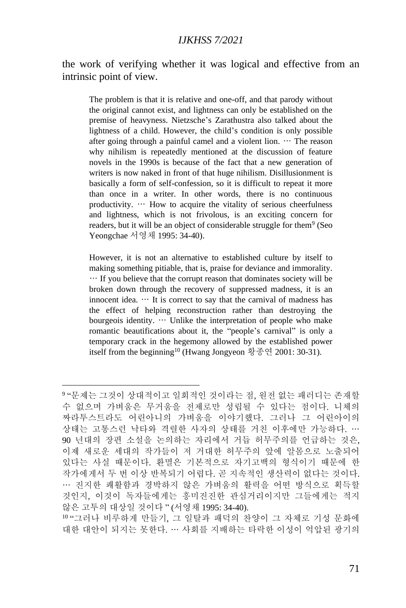the work of verifying whether it was logical and effective from an intrinsic point of view.

The problem is that it is relative and one-off, and that parody without the original cannot exist, and lightness can only be established on the premise of heavyness. Nietzsche's Zarathustra also talked about the lightness of a child. However, the child's condition is only possible after going through a painful camel and a violent lion.  $\cdots$  The reason why nihilism is repeatedly mentioned at the discussion of feature novels in the 1990s is because of the fact that a new generation of writers is now naked in front of that huge nihilism. Disillusionment is basically a form of self-confession, so it is difficult to repeat it more than once in a writer. In other words, there is no continuous productivity. … How to acquire the vitality of serious cheerfulness and lightness, which is not frivolous, is an exciting concern for readers, but it will be an object of considerable struggle for them<sup>9</sup> (Seo Yeongchae 서영채 1995: 34-40).

However, it is not an alternative to established culture by itself to making something pitiable, that is, praise for deviance and immorality. … If you believe that the corrupt reason that dominates society will be broken down through the recovery of suppressed madness, it is an innocent idea.  $\cdots$  It is correct to say that the carnival of madness has the effect of helping reconstruction rather than destroying the bourgeois identity. … Unlike the interpretation of people who make romantic beautifications about it, the "people's carnival" is only a temporary crack in the hegemony allowed by the established power itself from the beginning<sup>10</sup> (Hwang Jongyeon 황종연 2001: 30-31).

10 "그러나 비루하게 만들기, 그 일탈과 패덕의 찬양이 그 자체로 기성 문화에 대한 대안이 되지는 못한다. … 사회를 지배하는 타락한 이성이 억압된 광기의

<sup>9</sup> "문제는 그것이 상대적이고 일회적인 것이라는 점, 원전 없는 패러디는 존재할 수 없으며 가벼움은 무거움을 전제로만 성립될 수 있다는 점이다. 니체의 짜라투스트라도 어린아니의 가벼움을 이야기했다. 그러나 그 어린아이의 상태는 고통스런 낙타와 격렬한 사자의 상태를 거친 이후에만 가능하다. … 90 년대의 장편 소설을 논의하는 자리에서 거듭 허무주의를 언급하는 것은, 이제 새로운 세대의 작가들이 저 거대한 허무주의 앞에 알몸으로 노출되어 있다는 사실 때문이다. 환멸은 기본적으로 자기고백의 형식이기 때문에 한 작가에게서 두 번 이상 반복되기 어렵다. 곧 지속적인 생산력이 없다는 것이다. … 진지한 쾌활함과 경박하지 않은 가벼움의 활력을 어떤 방식으로 획득할 것인지, 이것이 독자들에게는 흥미진진한 관심거리이지만 그들에게는 적지 않은 고투의 대상일 것이다 " (서영채 1995: 34-40).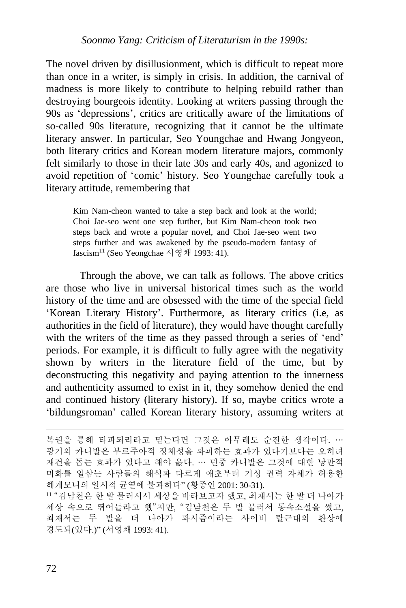The novel driven by disillusionment, which is difficult to repeat more than once in a writer, is simply in crisis. In addition, the carnival of madness is more likely to contribute to helping rebuild rather than destroying bourgeois identity. Looking at writers passing through the 90s as 'depressions', critics are critically aware of the limitations of so-called 90s literature, recognizing that it cannot be the ultimate literary answer. In particular, Seo Youngchae and Hwang Jongyeon, both literary critics and Korean modern literature majors, commonly felt similarly to those in their late 30s and early 40s, and agonized to avoid repetition of 'comic' history. Seo Youngchae carefully took a literary attitude, remembering that

Kim Nam-cheon wanted to take a step back and look at the world; Choi Jae-seo went one step further, but Kim Nam-cheon took two steps back and wrote a popular novel, and Choi Jae-seo went two steps further and was awakened by the pseudo-modern fantasy of fascism<sup>11</sup> (Seo Yeongchae 서영채 1993: 41).

Through the above, we can talk as follows. The above critics are those who live in universal historical times such as the world history of the time and are obsessed with the time of the special field 'Korean Literary History'. Furthermore, as literary critics (i.e, as authorities in the field of literature), they would have thought carefully with the writers of the time as they passed through a series of 'end' periods. For example, it is difficult to fully agree with the negativity shown by writers in the literature field of the time, but by deconstructing this negativity and paying attention to the innerness and authenticity assumed to exist in it, they somehow denied the end and continued history (literary history). If so, maybe critics wrote a 'bildungsroman' called Korean literary history, assuming writers at

복권을 통해 타파되리라고 믿는다면 그것은 아무래도 순진한 생각이다. … 광기의 카니발은 부르주아적 정체성을 파괴하는 효과가 있다기보다는 오히려 재건을 돕는 효과가 있다고 해야 옳다. … 민중 카니발은 그것에 대한 낭만적 미화를 일삼는 사람들의 해석과 다르게 애초부터 기성 권력 자체가 허용한 헤게모니의 일시적 균열에 불과하다" (황종연 2001: 30-31).

<sup>11</sup> "김남천은 한 발 물러서서 세상을 바라보고자 했고, 최재서는 한 발 더 나아가 세상 속으로 뛰어들라고 했"지만, "김남천은 두 발 물러서 통속소설을 썼고, 최재서는 두 발을 더 나아가 파시즘이라는 사이비 탈근대의 환상에 경도되(었다.)" (서영채 1993: 41).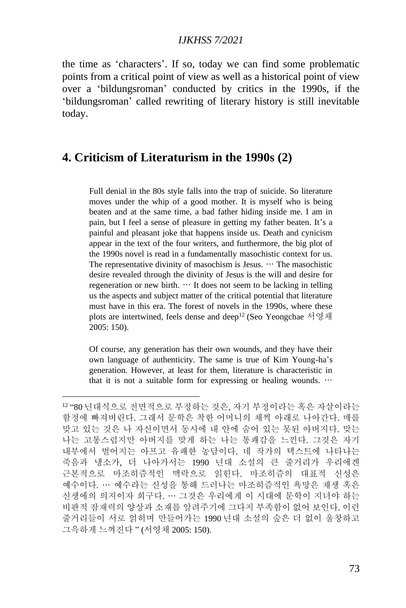the time as 'characters'. If so, today we can find some problematic points from a critical point of view as well as a historical point of view over a 'bildungsroman' conducted by critics in the 1990s, if the 'bildungsroman' called rewriting of literary history is still inevitable today.

### **4. Criticism of Literaturism in the 1990s (2)**

Full denial in the 80s style falls into the trap of suicide. So literature moves under the whip of a good mother. It is myself who is being beaten and at the same time, a bad father hiding inside me. I am in pain, but I feel a sense of pleasure in getting my father beaten. It's a painful and pleasant joke that happens inside us. Death and cynicism appear in the text of the four writers, and furthermore, the big plot of the 1990s novel is read in a fundamentally masochistic context for us. The representative divinity of masochism is Jesus.  $\cdots$  The masochistic desire revealed through the divinity of Jesus is the will and desire for regeneration or new birth.  $\cdots$  It does not seem to be lacking in telling us the aspects and subject matter of the critical potential that literature must have in this era. The forest of novels in the 1990s, where these plots are intertwined, feels dense and deep<sup>12</sup> (Seo Yeongchae 서영채 2005: 150).

Of course, any generation has their own wounds, and they have their own language of authenticity. The same is true of Kim Young-ha's generation. However, at least for them, literature is characteristic in that it is not a suitable form for expressing or healing wounds. …

<sup>12</sup> "80 년대식으로 전면적으로 부정하는 것은, 자기 부정이라는 혹은 자살이라는 함정에 빠져버린다. 그래서 문학은 착한 어머니의 채찍 아래로 나아간다. 매를 맞고 있는 것은 나 자신이면서 동시에 내 안에 숨어 있는 못된 아버지다. 맞는 나는 고통스럽지만 아버지를 맞게 하는 나는 통쾌감을 느낀다. 그것은 자기 내부에서 벌어지는 아프고 유쾌한 농담이다. 네 작가의 텍스트에 나타나는 죽음과 냉소가, 더 나아가서는 1990 년대 소설의 큰 줄거리가 우리에겐 근본적으로 마조히즘적인 맥락으로 읽힌다. 마조히즘의 대표적 신성은 예수이다. … 예수라는 신성을 통해 드러나는 마조히즘적인 욕망은 재생 혹은 신생에의 의지이자 희구다. … 그것은 우리에게 이 시대에 문학이 지녀야 하는 비판적 잠재력의 양상과 소재를 알려주기에 그다지 부족함이 없어 보인다. 이런 줄거리들이 서로 얽히며 만들어가는 1990 년대 소설의 숲은 더 없이 울창하고 그윽하게 느껴진다 " (서영채 2005: 150).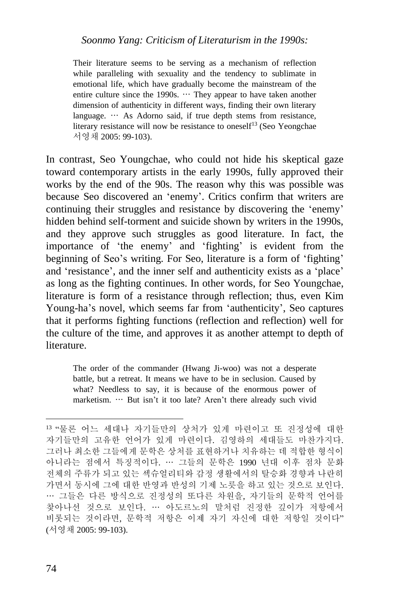Their literature seems to be serving as a mechanism of reflection while paralleling with sexuality and the tendency to sublimate in emotional life, which have gradually become the mainstream of the entire culture since the 1990s.  $\cdots$  They appear to have taken another dimension of authenticity in different ways, finding their own literary language. … As Adorno said, if true depth stems from resistance, literary resistance will now be resistance to oneself<sup>13</sup> (Seo Yeongchae) 서영채 2005: 99-103).

In contrast, Seo Youngchae, who could not hide his skeptical gaze toward contemporary artists in the early 1990s, fully approved their works by the end of the 90s. The reason why this was possible was because Seo discovered an 'enemy'. Critics confirm that writers are continuing their struggles and resistance by discovering the 'enemy' hidden behind self-torment and suicide shown by writers in the 1990s, and they approve such struggles as good literature. In fact, the importance of 'the enemy' and 'fighting' is evident from the beginning of Seo's writing. For Seo, literature is a form of 'fighting' and 'resistance', and the inner self and authenticity exists as a 'place' as long as the fighting continues. In other words, for Seo Youngchae, literature is form of a resistance through reflection; thus, even Kim Young-ha's novel, which seems far from 'authenticity', Seo captures that it performs fighting functions (reflection and reflection) well for the culture of the time, and approves it as another attempt to depth of literature.

The order of the commander (Hwang Ji-woo) was not a desperate battle, but a retreat. It means we have to be in seclusion. Caused by what? Needless to say, it is because of the enormous power of marketism. … But isn't it too late? Aren't there already such vivid

<sup>13</sup> "물론 어느 세대나 자기들만의 상처가 있게 마련이고 또 진정성에 대한 자기들만의 고유한 언어가 있게 마련이다. 김영하의 세대들도 마찬가지다. 그러나 최소한 그들에게 문학은 상처를 표현하거나 치유하는 데 적합한 형식이 아니라는 점에서 특징적이다. … 그들의 문학은 1990 년대 이후 점차 문화 전체의 주류가 되고 있는 섹슈얼리티와 감정 생활에서의 탈승화 경향과 나란히 가면서 동시에 그에 대한 반영과 반성의 기제 노릇을 하고 있는 것으로 보인다. … 그들은 다른 방식으로 진정성의 또다른 차원을, 자기들의 문학적 언어를 찾아나선 것으로 보인다. … 아도르노의 말처럼 진정한 깊이가 저항에서 비롯되는 것이라면, 문학적 저항은 이제 자기 자신에 대한 저항일 것이다" (서영채 2005: 99-103).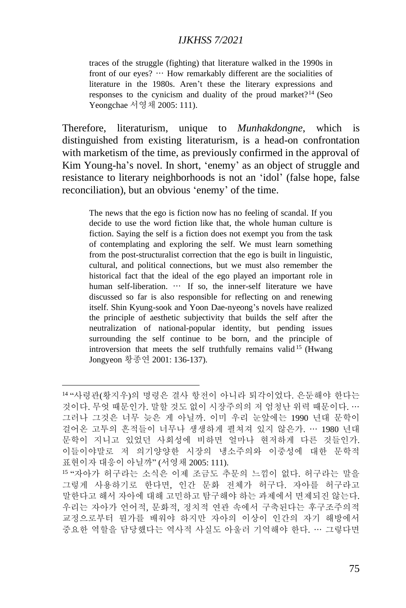traces of the struggle (fighting) that literature walked in the 1990s in front of our eyes? … How remarkably different are the socialities of literature in the 1980s. Aren't these the literary expressions and responses to the cynicism and duality of the proud market?<sup>14</sup> (Seo Yeongchae 서영채 2005: 111).

Therefore, literaturism, unique to *Munhakdongne*, which is distinguished from existing literaturism, is a head-on confrontation with marketism of the time, as previously confirmed in the approval of Kim Young-ha's novel. In short, 'enemy' as an object of struggle and resistance to literary neighborhoods is not an 'idol' (false hope, false reconciliation), but an obvious 'enemy' of the time.

The news that the ego is fiction now has no feeling of scandal. If you decide to use the word fiction like that, the whole human culture is fiction. Saying the self is a fiction does not exempt you from the task of contemplating and exploring the self. We must learn something from the post-structuralist correction that the ego is built in linguistic, cultural, and political connections, but we must also remember the historical fact that the ideal of the ego played an important role in human self-liberation. … If so, the inner-self literature we have discussed so far is also responsible for reflecting on and renewing itself. Shin Kyung-sook and Yoon Dae-nyeong's novels have realized the principle of aesthetic subjectivity that builds the self after the neutralization of national-popular identity, but pending issues surrounding the self continue to be born, and the principle of introversion that meets the self truthfully remains valid <sup>15</sup> (Hwang Jongyeon 황종연 2001: 136-137).

<sup>14</sup> "사령관(황지우)의 명령은 결사 항전이 아니라 퇴각이었다. 은둔해야 한다는 것이다. 무엇 때문인가. 말할 것도 없이 시장주의의 저 엄청난 위력 때문이다. … 그러나 그것은 너무 늦은 게 아닐까. 이미 우리 눈앞에는 1990 년대 문학이 걸어온 고투의 흔적들이 너무나 생생하게 펼쳐져 있지 않은가. … 1980 년대 문학이 지니고 있었던 사회성에 비하면 얼마나 현저하게 다른 것들인가. 이들이야말로 저 의기양양한 시장의 냉소주의와 이중성에 대한 문학적 표현이자 대응이 아닐까" (서영채 2005: 111).

<sup>15</sup> "자아가 허구라는 소식은 이제 조금도 추문의 느낌이 없다. 허구라는 말을 그렇게 사용하기로 한다면, 인간 문화 전체가 허구다. 자아를 허구라고 말한다고 해서 자아에 대해 고민하고 탐구해야 하는 과제에서 면제되진 않는다. 우리는 자아가 언어적, 문화적, 정치적 연관 속에서 구축된다는 후구조주의적 교정으로부터 뭔가를 배워야 하지만 자아의 이상이 인간의 자기 해방에서 중요한 역할을 담당했다는 역사적 사실도 아울러 기억해야 한다. … 그렇다면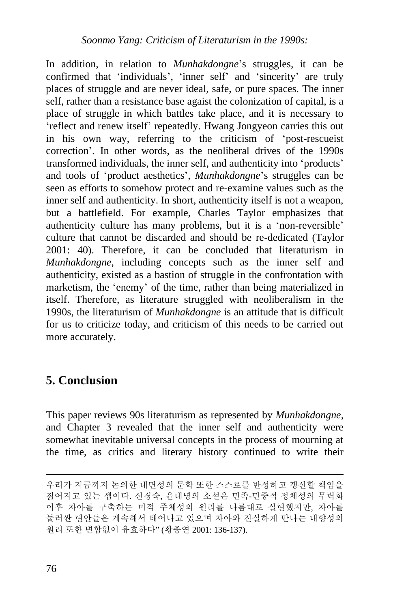In addition, in relation to *Munhakdongne*'s struggles, it can be confirmed that 'individuals', 'inner self' and 'sincerity' are truly places of struggle and are never ideal, safe, or pure spaces. The inner self, rather than a resistance base agaist the colonization of capital, is a place of struggle in which battles take place, and it is necessary to 'reflect and renew itself' repeatedly. Hwang Jongyeon carries this out in his own way, referring to the criticism of 'post-rescueist correction'. In other words, as the neoliberal drives of the 1990s transformed individuals, the inner self, and authenticity into 'products' and tools of 'product aesthetics', *Munhakdongne*'s struggles can be seen as efforts to somehow protect and re-examine values such as the inner self and authenticity. In short, authenticity itself is not a weapon, but a battlefield. For example, Charles Taylor emphasizes that authenticity culture has many problems, but it is a 'non-reversible' culture that cannot be discarded and should be re-dedicated (Taylor 2001: 40). Therefore, it can be concluded that literaturism in *Munhakdongne*, including concepts such as the inner self and authenticity, existed as a bastion of struggle in the confrontation with marketism, the 'enemy' of the time, rather than being materialized in itself. Therefore, as literature struggled with neoliberalism in the 1990s, the literaturism of *Munhakdongne* is an attitude that is difficult for us to criticize today, and criticism of this needs to be carried out more accurately.

# **5. Conclusion**

This paper reviews 90s literaturism as represented by *Munhakdongne*, and Chapter 3 revealed that the inner self and authenticity were somewhat inevitable universal concepts in the process of mourning at the time, as critics and literary history continued to write their

우리가 지금까지 논의한 내면성의 문학 또한 스스로를 반성하고 갱신할 책임을 짊어지고 있는 셈이다. 신경숙, 윤대녕의 소설은 민족-민중적 정체성의 무력화 이후 자아를 구축하는 미적 주체성의 원리를 나름대로 실현했지만, 자아를 둘러싼 현안들은 계속해서 태어나고 있으며 자아와 진실하게 만나는 내향성의 원리 또한 변함없이 유효하다" (황종연 2001: 136-137).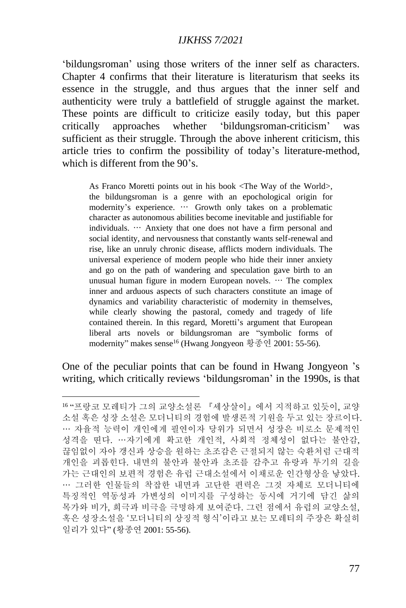'bildungsroman' using those writers of the inner self as characters. Chapter 4 confirms that their literature is literaturism that seeks its essence in the struggle, and thus argues that the inner self and authenticity were truly a battlefield of struggle against the market. These points are difficult to criticize easily today, but this paper critically approaches whether 'bildungsroman-criticism' was sufficient as their struggle. Through the above inherent criticism, this article tries to confirm the possibility of today's literature-method, which is different from the 90's.

As Franco Moretti points out in his book <The Way of the World>, the bildungsroman is a genre with an epochological origin for modernity's experience. … Growth only takes on a problematic character as autonomous abilities become inevitable and justifiable for individuals. … Anxiety that one does not have a firm personal and social identity, and nervousness that constantly wants self-renewal and rise, like an unruly chronic disease, afflicts modern individuals. The universal experience of modern people who hide their inner anxiety and go on the path of wandering and speculation gave birth to an unusual human figure in modern European novels. … The complex inner and arduous aspects of such characters constitute an image of dynamics and variability characteristic of modernity in themselves, while clearly showing the pastoral, comedy and tragedy of life contained therein. In this regard, Moretti's argument that European liberal arts novels or bildungsroman are "symbolic forms of modernity" makes sense<sup>16</sup> (Hwang Jongyeon 황종연 2001: 55-56).

One of the peculiar points that can be found in Hwang Jongyeon 's writing, which critically reviews 'bildungsroman' in the 1990s, is that

<sup>16</sup> "프랑코 모레티가 그의 교양소설론 『세상살이』에서 지적하고 있듯이, 교양 소설 혹은 성장 소설은 모더니티의 경험에 발생론적 기원을 두고 있는 장르이다. … 자율적 능력이 개인에게 필연이자 당위가 되면서 성장은 비로소 문제적인 성격을 띤다. …자기에게 확고한 개인적, 사회적 정체성이 없다는 불안감, 끊임없이 자아 갱신과 상승을 원하는 초조감은 근절되지 않는 숙환처럼 근대적 개인을 괴롭힌다. 내면의 불안과 불안과 초조를 감추고 유랑과 투기의 길을 가는 근대인의 보편적 경험은 유럽 근대소설에서 이채로운 인간형상을 낳았다. … 그러한 인물들의 착잡한 내면과 고단한 편력은 그것 자체로 모더니티에 특징적인 역동성과 가변성의 이미지를 구성하는 동시에 거기에 담긴 삶의 목가와 비가, 희극과 비극을 극명하게 보여준다. 그런 점에서 유럽의 교양소설, 혹은 성장소설을 '모더니티의 상징적 형식'이라고 보는 모레티의 주장은 확실히 일리가 있다" (황종연 2001: 55-56).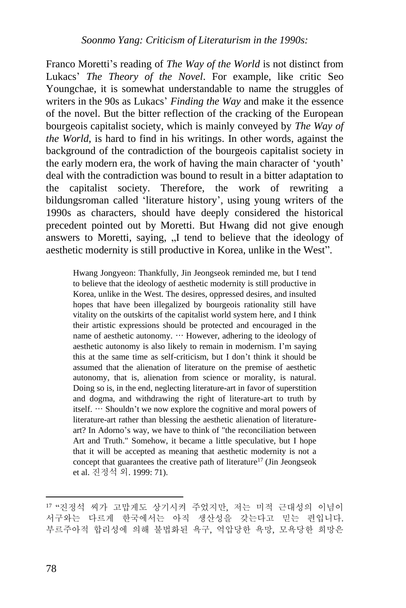Franco Moretti's reading of *The Way of the World* is not distinct from Lukacs' *The Theory of the Novel*. For example, like critic Seo Youngchae, it is somewhat understandable to name the struggles of writers in the 90s as Lukacs' *Finding the Way* and make it the essence of the novel. But the bitter reflection of the cracking of the European bourgeois capitalist society, which is mainly conveyed by *The Way of the World*, is hard to find in his writings. In other words, against the background of the contradiction of the bourgeois capitalist society in the early modern era, the work of having the main character of 'youth' deal with the contradiction was bound to result in a bitter adaptation to the capitalist society. Therefore, the work of rewriting a bildungsroman called 'literature history', using young writers of the 1990s as characters, should have deeply considered the historical precedent pointed out by Moretti. But Hwang did not give enough answers to Moretti, saving, ...I tend to believe that the ideology of aesthetic modernity is still productive in Korea, unlike in the West".

Hwang Jongyeon: Thankfully, Jin Jeongseok reminded me, but I tend to believe that the ideology of aesthetic modernity is still productive in Korea, unlike in the West. The desires, oppressed desires, and insulted hopes that have been illegalized by bourgeois rationality still have vitality on the outskirts of the capitalist world system here, and I think their artistic expressions should be protected and encouraged in the name of aesthetic autonomy. … However, adhering to the ideology of aesthetic autonomy is also likely to remain in modernism. I'm saying this at the same time as self-criticism, but I don't think it should be assumed that the alienation of literature on the premise of aesthetic autonomy, that is, alienation from science or morality, is natural. Doing so is, in the end, neglecting literature-art in favor of superstition and dogma, and withdrawing the right of literature-art to truth by itself. … Shouldn't we now explore the cognitive and moral powers of literature-art rather than blessing the aesthetic alienation of literatureart? In Adorno's way, we have to think of "the reconciliation between Art and Truth." Somehow, it became a little speculative, but I hope that it will be accepted as meaning that aesthetic modernity is not a concept that guarantees the creative path of literature <sup>17</sup> (Jin Jeongseok et al. 진정석 외. 1999: 71).

<sup>17</sup> "진정석 씨가 고맙게도 상기시켜 주었지만, 저는 미적 근대성의 이념이 서구와는 다르게 한국에서는 아직 생산성을 갖는다고 믿는 편입니다. 부르주아적 합리성에 의해 불법화된 욕구, 억압당한 욕망, 모욕당한 희망은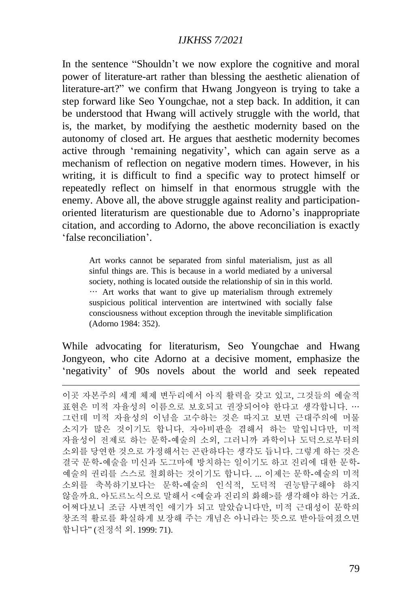In the sentence "Shouldn't we now explore the cognitive and moral power of literature-art rather than blessing the aesthetic alienation of literature-art?" we confirm that Hwang Jongyeon is trying to take a step forward like Seo Youngchae, not a step back. In addition, it can be understood that Hwang will actively struggle with the world, that is, the market, by modifying the aesthetic modernity based on the autonomy of closed art. He argues that aesthetic modernity becomes active through 'remaining negativity', which can again serve as a mechanism of reflection on negative modern times. However, in his writing, it is difficult to find a specific way to protect himself or repeatedly reflect on himself in that enormous struggle with the enemy. Above all, the above struggle against reality and participationoriented literaturism are questionable due to Adorno's inappropriate citation, and according to Adorno, the above reconciliation is exactly 'false reconciliation'.

Art works cannot be separated from sinful materialism, just as all sinful things are. This is because in a world mediated by a universal society, nothing is located outside the relationship of sin in this world. … Art works that want to give up materialism through extremely suspicious political intervention are intertwined with socially false consciousness without exception through the inevitable simplification (Adorno 1984: 352).

While advocating for literaturism, Seo Youngchae and Hwang Jongyeon, who cite Adorno at a decisive moment, emphasize the 'negativity' of 90s novels about the world and seek repeated

이곳 자본주의 세계 체제 변두리에서 아직 활력을 갖고 있고, 그것들의 예술적 표현은 미적 자율성의 이름으로 보호되고 권장되어야 한다고 생각합니다. … 그런데 미적 자율성의 이념을 고수하는 것은 따지고 보면 근대주의에 머물 소지가 많은 것이기도 합니다. 자아비판을 겸해서 하는 말입니다만, 미적 자율성이 전제로 하는 문학-예술의 소외, 그러니까 과학이나 도덕으로부터의 소외를 당연한 것으로 가정해서는 곤란하다는 생각도 듭니다. 그렇게 하는 것은 결국 문학-예술을 미신과 도그마에 방치하는 일이기도 하고 진리에 대한 문학-예술의 권리를 스스로 철회하는 것이기도 합니다. ... 이제는 문학-예술의 미적 소외를 축복하기보다는 문학-예술의 인식적, 도덕적 권능탐구해야 하지 않을까요. 아도르노식으로 말해서 <예술과 진리의 화해>를 생각해야 하는 거죠. 어쩌다보니 조금 사변적인 얘기가 되고 말았습니다만, 미적 근대성이 문학의 창조적 활로를 확실하게 보장해 주는 개념은 아니라는 뜻으로 받아들여졌으면 합니다" (진정석 외. 1999: 71).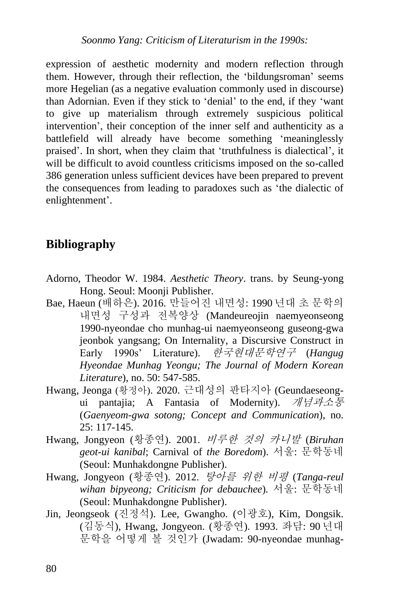expression of aesthetic modernity and modern reflection through them. However, through their reflection, the 'bildungsroman' seems more Hegelian (as a negative evaluation commonly used in discourse) than Adornian. Even if they stick to 'denial' to the end, if they 'want to give up materialism through extremely suspicious political intervention', their conception of the inner self and authenticity as a battlefield will already have become something 'meaninglessly praised'. In short, when they claim that 'truthfulness is dialectical', it will be difficult to avoid countless criticisms imposed on the so-called 386 generation unless sufficient devices have been prepared to prevent the consequences from leading to paradoxes such as 'the dialectic of enlightenment'.

## **Bibliography**

- Adorno, Theodor W. 1984. *Aesthetic Theory*. trans. by Seung-yong Hong. Seoul: Moonji Publisher.
- Bae, Haeun (배하은). 2016. 만들어진 내면성: 1990 년대 초 문학의 내면성 구성과 전복양상 (Mandeureojin naemyeonseong 1990-nyeondae cho munhag-ui naemyeonseong guseong-gwa jeonbok yangsang; On Internality, a Discursive Construct in Early 1990s' Literature). 한국현대문학연구 (*Hangug Hyeondae Munhag Yeongu; The Journal of Modern Korean Literature*), no. 50: 547-585.
- Hwang, Jeonga (황정아). 2020. 근대성의 판타지아 (Geundaeseongui pantajia; A Fantasia of Modernity). 개념과소통 (*Gaenyeom-gwa sotong; Concept and Communication*), no. 25: 117-145.
- Hwang, Jongyeon (황종연). 2001. 비루한 것의 카니발 (*Biruhan geot-ui kanibal*; Carnival of *the Boredom*). 서울: 문학동네 (Seoul: Munhakdongne Publisher).
- Hwang, Jongyeon (황종연). 2012. 탕아를 위한 비평 (*Tanga-reul wihan bipyeong; Criticism for debauchee*)*.* 서울: 문학동네 (Seoul: Munhakdongne Publisher).
- Jin, Jeongseok (진정석). Lee, Gwangho. (이광호), Kim, Dongsik. (김동식), Hwang, Jongyeon. (황종연). 1993. 좌담: 90 년대 문학을 어떻게 볼 것인가 (Jwadam: 90-nyeondae munhag-